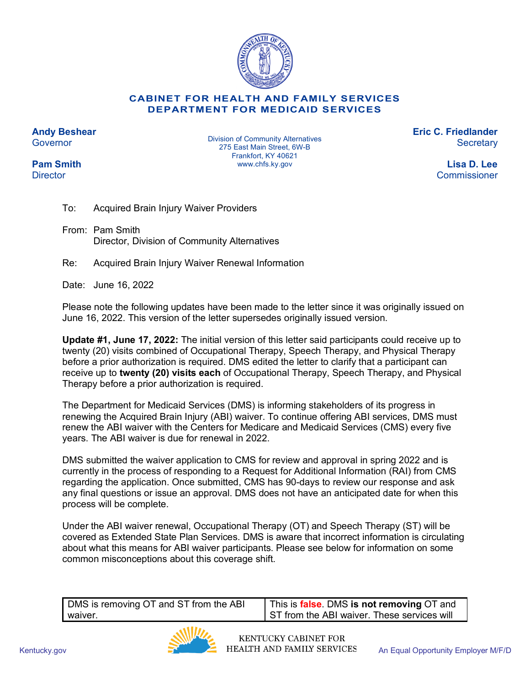

## **CABINET FOR HEALTH AND FAMILY SERVICES DEPARTMENT FOR MEDICAID SERVICES**

**Andy Beshear Governor** 

**Pam Smith Director** 

Division of Community Alternatives 275 East Main Street, 6W-B Frankfort, KY 40621 www.chfs.ky.gov

**Eric C. Friedlander Secretary** 

> **Lisa D. Lee** Commissioner

To: Acquired Brain Injury Waiver Providers

From: Pam Smith Director, Division of Community Alternatives

Re: Acquired Brain Injury Waiver Renewal Information

Date: June 16, 2022

Please note the following updates have been made to the letter since it was originally issued on June 16, 2022. This version of the letter supersedes originally issued version.

**Update #1, June 17, 2022:** The initial version of this letter said participants could receive up to twenty (20) visits combined of Occupational Therapy, Speech Therapy, and Physical Therapy before a prior authorization is required. DMS edited the letter to clarify that a participant can receive up to **twenty (20) visits each** of Occupational Therapy, Speech Therapy, and Physical Therapy before a prior authorization is required.

The Department for Medicaid Services (DMS) is informing stakeholders of its progress in renewing the Acquired Brain Injury (ABI) waiver. To continue offering ABI services, DMS must renew the ABI waiver with the Centers for Medicare and Medicaid Services (CMS) every five years. The ABI waiver is due for renewal in 2022.

DMS submitted the waiver application to CMS for review and approval in spring 2022 and is currently in the process of responding to a Request for Additional Information (RAI) from CMS regarding the application. Once submitted, CMS has 90-days to review our response and ask any final questions or issue an approval. DMS does not have an anticipated date for when this process will be complete.

Under the ABI waiver renewal, Occupational Therapy (OT) and Speech Therapy (ST) will be covered as Extended State Plan Services. DMS is aware that incorrect information is circulating about what this means for ABI waiver participants. Please see below for information on some common misconceptions about this coverage shift.

| DMS is removing OT and ST from the ABI | This is <b>false</b> . DMS is not removing OT and |
|----------------------------------------|---------------------------------------------------|
| waiver.                                | ST from the ABI waiver. These services will       |

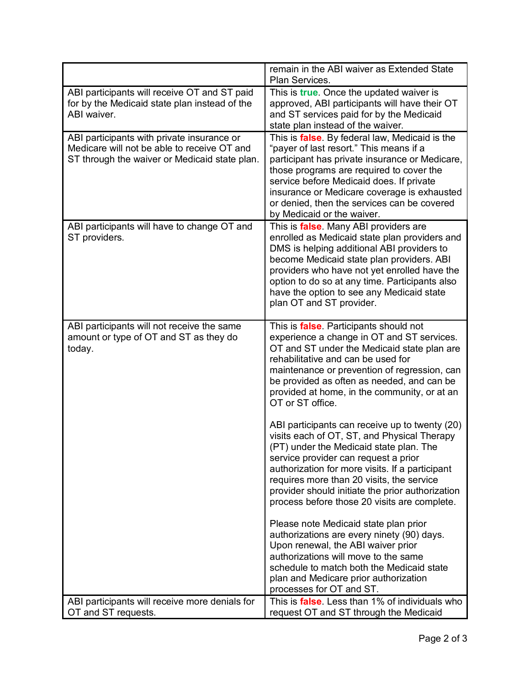|                                                                                                                                            | remain in the ABI waiver as Extended State<br>Plan Services.                                                                                                                                                                                                                                                                                                                         |
|--------------------------------------------------------------------------------------------------------------------------------------------|--------------------------------------------------------------------------------------------------------------------------------------------------------------------------------------------------------------------------------------------------------------------------------------------------------------------------------------------------------------------------------------|
| ABI participants will receive OT and ST paid<br>for by the Medicaid state plan instead of the<br>ABI waiver.                               | This is <i>true</i> . Once the updated waiver is<br>approved, ABI participants will have their OT<br>and ST services paid for by the Medicaid<br>state plan instead of the waiver.                                                                                                                                                                                                   |
| ABI participants with private insurance or<br>Medicare will not be able to receive OT and<br>ST through the waiver or Medicaid state plan. | This is <b>false</b> . By federal law, Medicaid is the<br>"payer of last resort." This means if a<br>participant has private insurance or Medicare,<br>those programs are required to cover the<br>service before Medicaid does. If private<br>insurance or Medicare coverage is exhausted<br>or denied, then the services can be covered<br>by Medicaid or the waiver.              |
| ABI participants will have to change OT and<br>ST providers.                                                                               | This is <b>false</b> . Many ABI providers are<br>enrolled as Medicaid state plan providers and<br>DMS is helping additional ABI providers to<br>become Medicaid state plan providers. ABI<br>providers who have not yet enrolled have the<br>option to do so at any time. Participants also<br>have the option to see any Medicaid state<br>plan OT and ST provider.                 |
| ABI participants will not receive the same<br>amount or type of OT and ST as they do<br>today.                                             | This is <b>false</b> . Participants should not<br>experience a change in OT and ST services.<br>OT and ST under the Medicaid state plan are<br>rehabilitative and can be used for<br>maintenance or prevention of regression, can<br>be provided as often as needed, and can be<br>provided at home, in the community, or at an<br>OT or ST office.                                  |
|                                                                                                                                            | ABI participants can receive up to twenty (20)<br>visits each of OT, ST, and Physical Therapy<br>(PT) under the Medicaid state plan. The<br>service provider can request a prior<br>authorization for more visits. If a participant<br>requires more than 20 visits, the service<br>provider should initiate the prior authorization<br>process before those 20 visits are complete. |
|                                                                                                                                            | Please note Medicaid state plan prior<br>authorizations are every ninety (90) days.<br>Upon renewal, the ABI waiver prior<br>authorizations will move to the same<br>schedule to match both the Medicaid state<br>plan and Medicare prior authorization<br>processes for OT and ST.                                                                                                  |
| ABI participants will receive more denials for<br>OT and ST requests.                                                                      | This is <b>false</b> . Less than 1% of individuals who<br>request OT and ST through the Medicaid                                                                                                                                                                                                                                                                                     |